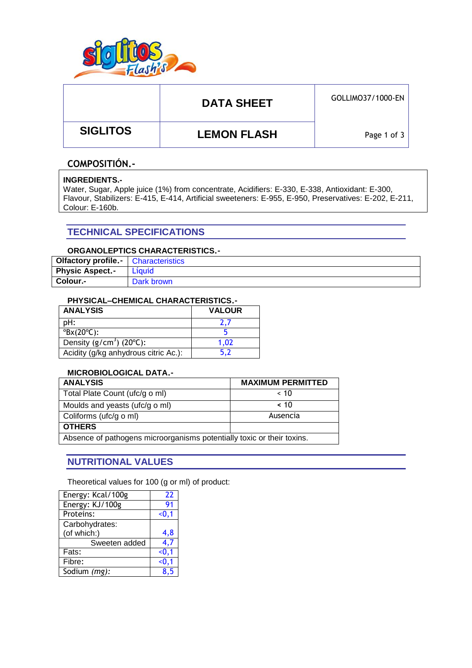

# DATA SHEET **GOLLIMO37/1000-EN**

 **SIGLITOS LEMON FLASH**

Page 1 of 3

### **COMPOSITIÓN.-**

### **INGREDIENTS.-**

Water, Sugar, Apple juice (1%) from concentrate, Acidifiers: E-330, E-338, Antioxidant: E-300, Flavour, Stabilizers: E-415, E-414, Artificial sweeteners: E-955, E-950, Preservatives: E-202, E-211, Colour: E-160b.

### **TECHNICAL SPECIFICATIONS**

### **ORGANOLEPTICS CHARACTERISTICS.-**

| Olfactory profile.-    | <b>Characteristics</b> |
|------------------------|------------------------|
| <b>Physic Aspect.-</b> | Líquid                 |
| Colour.-               | Dark brown             |

### **PHYSICAL–CHEMICAL CHARACTERISTICS.-**

| <b>ANALYSIS</b>                       | <b>VALOUR</b> |
|---------------------------------------|---------------|
| pH:                                   |               |
| $\textdegree$ Bx(20 $\textdegree$ C): |               |
| Density $(g/cm3)$ (20 $^{\circ}$ C):  | 1.02          |
| Acidity (g/kg anhydrous citric Ac.):  |               |

#### **MICROBIOLOGICAL DATA.-**

| <b>ANALYSIS</b>                                                        | <b>MAXIMUM PERMITTED</b> |  |  |
|------------------------------------------------------------------------|--------------------------|--|--|
| Total Plate Count (ufc/g o ml)                                         | ~< 10                    |  |  |
| Moulds and yeasts (ufc/g o ml)                                         | ~< 10                    |  |  |
| Coliforms (ufc/g o ml)                                                 | Ausencia                 |  |  |
| <b>OTHERS</b>                                                          |                          |  |  |
| Absence of pathogens microorganisms potentially toxic or their toxins. |                          |  |  |

### **NUTRITIONAL VALUES**

Theoretical values for 100 (g or ml) of product:

| Energy: Kcal/100g | 22    |
|-------------------|-------|
| Energy: KJ/100g   | 91    |
| Proteins:         | $0,1$ |
| Carbohydrates:    |       |
| (of which:)       | 4,8   |
| Sweeten added     | 4.7   |
| Fats:             | $0.1$ |
| Fibre:            | $0.1$ |
| Sodium (mg):      | ጸ 5   |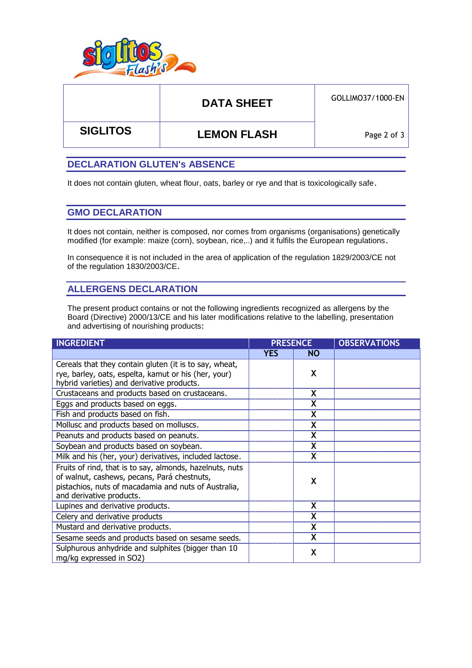

# DATA SHEET **GOLLIMO37/1000-EN**

 **SIGLITOS LEMON FLASH**

Page 2 of 3

### **DECLARATION GLUTEN's ABSENCE**

It does not contain gluten, wheat flour, oats, barley or rye and that is toxicologically safe.

### **GMO DECLARATION**

It does not contain, neither is composed, nor comes from organisms (organisations) genetically modified (for example: maize (corn), soybean, rice,..) and it fulfils the European regulations.

In consequence it is not included in the area of application of the regulation 1829/2003/CE not of the regulation 1830/2003/CE.

### **ALLERGENS DECLARATION**

The present product contains or not the following ingredients recognized as allergens by the Board (Directive) 2000/13/CE and his later modifications relative to the labelling, presentation and advertising of nourishing products:

| <b>INGREDIENT</b>                                                                                                                                                                           | <b>PRESENCE</b> |           | <b>OBSERVATIONS</b> |
|---------------------------------------------------------------------------------------------------------------------------------------------------------------------------------------------|-----------------|-----------|---------------------|
|                                                                                                                                                                                             | <b>YES</b>      | <b>NO</b> |                     |
| Cereals that they contain gluten (it is to say, wheat,<br>rye, barley, oats, espelta, kamut or his (her, your)<br>hybrid varieties) and derivative products.                                |                 | X         |                     |
| Crustaceans and products based on crustaceans.                                                                                                                                              |                 | X         |                     |
| Eggs and products based on eggs.                                                                                                                                                            |                 | X         |                     |
| Fish and products based on fish.                                                                                                                                                            |                 |           |                     |
| Mollusc and products based on molluscs.                                                                                                                                                     |                 | X         |                     |
| Peanuts and products based on peanuts.                                                                                                                                                      |                 | X         |                     |
| Soybean and products based on soybean.                                                                                                                                                      |                 | X         |                     |
| Milk and his (her, your) derivatives, included lactose.                                                                                                                                     |                 |           |                     |
| Fruits of rind, that is to say, almonds, hazelnuts, nuts<br>of walnut, cashews, pecans, Pará chestnuts,<br>pistachios, nuts of macadamia and nuts of Australia,<br>and derivative products. |                 | X         |                     |
| Lupines and derivative products.                                                                                                                                                            |                 | X         |                     |
| Celery and derivative products                                                                                                                                                              |                 |           |                     |
| Mustard and derivative products.                                                                                                                                                            |                 |           |                     |
| Sesame seeds and products based on sesame seeds.                                                                                                                                            |                 | x         |                     |
| Sulphurous anhydride and sulphites (bigger than 10<br>mg/kg expressed in SO2)                                                                                                               |                 | X         |                     |